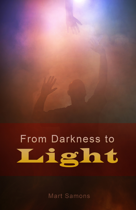# From Darkness to Light

**Mart Samons**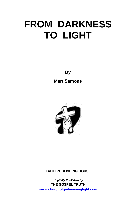**By** 

**Mart Samons** 



#### **FAITH PUBLISHING HOUSE**

**Digitally Published by** THE GOSPEL TRUTH www.churchofgodeveninglight.com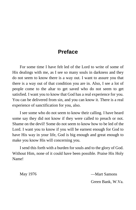## **Preface**

For some time I have felt led of the Lord to write of some of His dealings with me, as I see so many souls in darkness and they do not seem to know there is a way out. I want to assure you that there is a way out of that condition you are in. Also, I see a lot of people come to the altar to get saved who do not seem to get satisfied. I want you to know that God has a real experience for you. You can be delivered from sin, and you can know it. There is a real experience of sanctification for you, also.

I see some who do not seem to know their calling. I have heard some say they did not know if they were called to preach or not. Shame on the devil! Some do not seem to know how to be led of the Lord. I want you to know if you will be earnest enough for God to have His way in your life, God is big enough and great enough to make you know His will concerning you.

I send this forth with a burden for souls and to the glory of God. Without Him, none of it could have been possible. Praise His Holy Name!

May 1976 — Mart Samons

Green Bank, W.Va.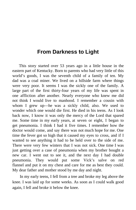### **From Darkness to Light**

This story started over 53 years ago in a little house in the eastern part of Kentucky. Born to parents who had very little of this world's goods, I was the seventh child of a family of ten. My dad was a coal miner. We lived on a hillside farm where things were very poor. It seems I was the sickly one of the family. A large part of the first thirty-four years of my life was spent in one affliction after another. Nearly everyone who knew me did not think I would live to manhood. I remember a cousin with whom I grew up—he was a sickly child, also. We used to wonder which one would die first. He died in his teens. As I look back now, I know it was only the mercy of the Lord that spared me. Some time in my early years, at seven or eight, I began to get pneumonia. I think I had it five times. I remember how the doctor would come, and say there was not much hope for me. One time the fever got so high that it caused my eyes to cross, and if I wanted to see anything it had to be held over to the side of me. There were very few winters that I was not sick. One time I was just getting over a case of pneumonia when my brother bought a new car. I went out to see it, and the next day I had double pneumonia. They would put some Vick's salve on red flannel and put it on my chest and care for me as best they could. My dear father and mother stood by me day and night.

In my early teens, I fell from a tree and broke my leg above the knee. I was laid up for some weeks. As soon as I could walk good again, I fell and broke it below the knee.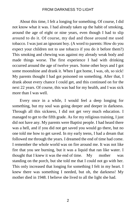About this time, I felt a longing for something. Of course, I did not know what it was. I had already taken up the habit of smoking, around the age of eight or nine years, even though I had to slip around to do it. Of course, my dad and those around me used tobacco. I was just an ignorant boy. (A word to parents: How do you expect your children not to use tobacco if you do it before them?) This smoking and chewing was against my already weak body and made things worse. The first experience I had with drinking occurred around the age of twelve years. Some other boys and I got some moonshine and drank it. When I got home, I was, oh, so sick! My parents thought I had got poisoned on something. After that, I drank about every chance I could get, and this continued on for the next 22 years. Of course, this was bad for my health, and I was sick more than I was well.

Every once in a while, I would feel a deep longing for something, but my soul was going deeper and deeper in darkness. Through all this sickness, I did not get very much education. I managed to get to the fifth grade. As for my religious training, I just did not have any. My parents were Baptist people. I had heard there was a hell, and if you did not get saved you would go there, but no one told me how to get saved. In my early teens, I had a dream that followed me through the years. I dreamed the end of time had come. I remember the whole world was on fire around me. It was not like fire that you see burning, but it was a liquid that ran like water. I thought that I knew it was the end of time. My mother was standing on the porch, but she told me that I could not go with her. This only increased that longing for something I felt in my heart. I knew there was something I needed, but oh, the darkness! My mother died in 1948. I believe she lived to all the light she had.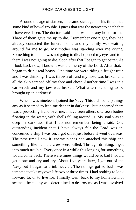Around the age of sixteen, I became sick again. This time I had some kind of bowel trouble. I guess that was the nearest to death that I have ever been. The doctors said there was not any hope for me. Three of them gave me up to die. I remember one night, they had already contacted the funeral home and my family was waiting around for me to go. My mother was standing over me crying. Something told me I was not going to die. I opened my eyes and told them I was not going to die. Soon after that I began to get better. As I look back now, I know it was the mercy of the Lord. After that, I began to drink real heavy. One time we were riding a freight train and I was drinking. I was thrown off and my nose was broken and all the skin scraped off my face and chest. Another time I was in a car wreck and my jaw was broken. What a terrible thing to be brought up in darkness!

When I was nineteen, I joined the Navy. This did not help things any as it seemed to lead me deeper in darkness. But it seemed there was a protecting Hand over me. I have seen others die; seen bodies floating in the water, with shells falling around us. My soul was so deep in darkness, that I do not remember being afraid. One outstanding incident that I have always felt the Lord was in, concerned a ship I was on. I got off it just before it went overseas. The next time I saw it, enemy planes had attacked this ship and something like half the crew were killed. Through drinking, I got into much trouble. Every once in a while this longing for something would come back. There were times things would be so bad I would get alone and cry and cry. About five years later, I got out of the Navy but I began to drink heavier. Then things got so bad I was tempted to take my own life two or three times. I had nothing to look forward to, or to live for. I finally went back to my hometown. It seemed the enemy was determined to destroy me as I was involved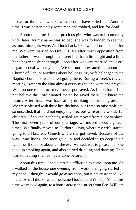in two or three car wrecks which could have killed me. Another time, I was beaten up by some men and robbed, and left for dead.

About this time, I met a precious girl, who was to become my wife, later. As my name was so bad, she was forbidden to see me, as most nice girls were. As I look back, I know the Lord had her for me. We were married on Oct. 7, 1949, after much opposition from her father. It was through her sweet life that a little light and a little hope began to shine through. Soon after we were married, the Lord began to deal with my soul. We did not know anything about the Church of God, or anything about holiness. My wife belonged to the Baptist church, so we started going there. During a week's revival meeting I went to the altar almost every night, and wept and prayed. With no one to instruct me, I never got saved. As I look back, I do not believe the Lord wanted me to be saved there. He knew the future. After that, I was back at my drinking and running around. We were blessed with three healthy boys, but I was so miserable and so unsettled, that I did not enjoy my precious wife or my wonderful children. Of course, not being settled, we moved from place to place. The first seven years of our marriage, we moved about eighteen times. We finally moved to Fairborn, Ohio, where my wife started going to a Nazarene Church where she got saved. Because of the way I was living, she soon gave up, and decided to go deep in sin with me. It seemed about all she ever wanted, was to please me. She took up smoking again, and also started drinking and dancing. That was something she had never done before.

About this time, I had a terrible affliction to come upon me. As I walked in the house one evening from work, a ringing started in my head. I thought it would go away soon, but it never stopped. No matter what I did, or what medicine I took, it didn't help. About this time we moved again, to a house across the street from Bro. William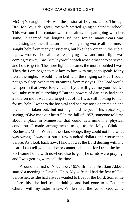McCoy's daughter. He was the pastor at Dayton, Ohio. Through Bro. McCoy's daughter, my wife started going to Sunday school. This was our first contact with the saints. I began going with her some. It seemed this longing I'd had for so many years was increasing and the affliction I had was getting worse all the time. I sought help from many physicians, but like the woman in the Bible, I grew worse. The saints were praying now, and more light was coming my way. Bro. McCoy would teach what it meant to be saved, and how to get it. The more light that came, the more troubled I was. Then the Lord began to talk face to face with me, so to speak. Many were the nights I would lie in bed with the ringing so loud I could not go to sleep, with tears streaming from my eyes. The Lord would whisper in that sweet low voice, "If you will give me your heart, I will take care of everything." But the powers of darkness had such a hold on me it was hard to get out of it. I was still looking to man for my help. I went to the hospital and had my nose operated on and my tonsils taken out, but nothing I did helped. This voice kept saying, "Give me your heart." In the fall of 1957, someone told me about a place in Minnesota that could determine my physical condition. I made arrangements to go to the Mayo Clinic in Rochester, Minn. With all their knowledge, they could not find what was wrong. I was just out a few hundred dollars and worse than before. As I look back now, I know it was the Lord dealing with my heart. I can tell you, the doctor cannot help that, for I tried the best. So I came home with nowhere else to go. The saints were praying, and I was getting worse all the time.

Around the first of November, 1957, Bro. and Sis. Sam Abbott started a meeting in Dayton, Ohio. My wife still had the fear of God before her, as she had always wanted to live for the Lord. Sometime before this, she had been drinking, and had gone to a Catholic Church with my sister-in-law. While there, the fear of God came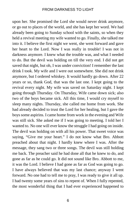upon her. She promised the Lord she would never drink anymore, or go out to places of the world, and she has kept her word. We had already been going to Sunday school with the saints, so when they held a revival meeting my wife wanted to go. Finally, she talked me into it. I believe the first night we went, she went forward and gave her heart to the Lord. Now I was really in trouble! I was not in darkness anymore. I knew what the trouble was, and what I needed to do. But the devil was holding on till the very end. I did not get saved that night, but oh, I was under conviction! I remember the last drink I took. My wife and I were out somewhere. She did not drink anymore, but I ordered whiskey. It would hardly go down. After 22 years or so, thank God, that was the last one. I kept going to the revival every night. My wife was saved on Saturday night. I kept going through Thursday. On Thursday, Wife came down sick; also two of the boys became sick. All this time, I would cry myself to sleep many nights. Thursday, she called me home from work. She had already decided to trust the Lord for her healing, but I gave the boys some aspirins. I came home from work in the evening and Wife was still sick. She asked me if I was going to meeting. I told her I wanted to. No one will ever know the struggle I had going on inside. The devil was holding on with all his power. That sweet voice was saying, "Give me your heart." I do not know what Bro. Abbott preached about that night. I hardly knew where I was. After the message, they sang two or three songs. The devil was still holding me back. The preacher said he had done all that he knew to do, and gone as far as he could go. It did not sound like Bro. Abbott to me, it was the Lord. I believe I had gone as far as God was going to go. I have always believed that was my last chance; anyway I went forward. No one had to tell me to pray, I was ready to give it all up. I had twenty some years of sins to repent of. When I fully repented, the most wonderful thing that I had ever experienced happened to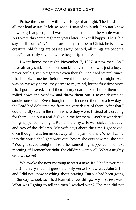me. Praise the Lord! I will never forget that night. The Lord took all that load away. It felt so good, I started to laugh. I do not know how long I laughed, but I was the happiest man in the whole world. As I write this some eighteen years later I am still happy. The Bible says in II Cor. 5:17, "Therefore if any man be in Christ, he is a new creature: old things are passed away; behold, all things are become new." I can truly say a new life began right there.

I went home that night, November 7, 1957, a new man. As I have already said, I had been smoking ever since I was just a boy. I never could give up cigarettes even though I had tried several times. I had smoked one just before I went into the chapel that night. As I was on my way home, they came to my mind, for the first time since I had gotten saved. I had them in my coat pocket. I took them out, rolled down the window and threw them out. I never desired to smoke one since. Even though the flesh craved them for a few days, the Lord had delivered me from the very desire of them. After that I could hardly stay in the room where they were. Instead of a craving for them, God put a real dislike in me for them. Another wonderful thing happened that night. Remember, my wife was sick all that day, and two of the children. My wife says about the time I got saved, even though I was ten miles away, all the pain left her. When I came into the house, the lights were out. Before she ever saw me, she said "You got saved tonight." I told her something happened. The next morning, if I remember right, the children were well. What a mighty God we serve!

We awoke the next morning to start a new life. I had never read the Bible very much. I guess the only verse I knew was John 3:16, and I did not know anything about praying. But we had been going to Sunday school, so I had learned a few things. My first test was: What was I going to tell the men I worked with? The men did not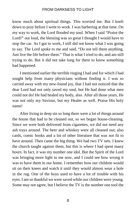know much about spiritual things. This worried me. But I knelt down to pray before I went to work. I was barbering at that time. On my way to work, the Lord flooded my soul. When I said "Praise the Lord!" out loud, the blessing was so great I thought I would have to stop the car. As I got to work, I still did not know what I was going to say. The Lord spoke to me and said, "Do not tell them anything. Just live the life before them." That is what I tried to do, and am still trying to do. But it did not take long for them to know something had happened.

I mentioned earlier the terrible ringing I had and for which I had sought help from many physicians without finding it. I was so carried away with my new-found joy, that I had not noticed that the dear Lord had not only saved my soul, but He had done what men could not do! He had healed my body, also. After all those years, He was not only my Saviour, but my Healer as well. Praise His holy name!

After living in deep sin so long there were a lot of things around the house that had to be cleaned out, so we began house-cleaning. Since we were both delivered from cigarettes, we did not need any ash trays around. The beer and whiskey were all cleaned out; also cards, comic books and a lot of other literature that was not fit to have around. Then came the big thing. We had two TV sets. I knew the church taught against them, but this is where I had spent many hours. In fact, it was my number one idol. But the Spirit of the Lord was bringing more light to me now, and I could see how wrong it was to have them in our home. I remember how our children would sit on their knees and watch it until they would almost wear a hole in the rug. One of the boys used to have a lot of trouble with his eyes. I am so thankful we were saved while our children were young. Some may not agree, but I believe the TV is the number one tool the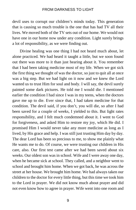devil uses to corrupt our children's minds today. This generation that is causing so much trouble is the one that has had TV all their lives. We moved both of the TV sets out of our home. We would not have one in our home now under any condition. Light surely brings a lot of responsibility, as we were finding out.

Divine healing was one thing I had not heard much about, let alone practiced. We had heard it taught a little, but we soon found out there was more to it than just hearing about it. You remember that I had been taking medicine most of my life. When we got sick the first thing we thought of was the doctor, so just to quit all at once was a big step. But we had light on it now and we knew the Lord wanted us to trust Him for soul and body. I will say, the devil surely painted some dark pictures. He told me I would die. I mentioned earlier the condition I had since I was in my teens, when the doctors gave me up to die. Ever since that, I had taken medicine for that condition. The devil said, if you don't, you will die, so after I had been saved for a couple of weeks, I yielded to this. But light rates responsibility, and I felt much condemned about it. I went to God for forgiveness, and asked Him to restore my joy, which He did. I promised Him I would never take any more medicine as long as I lived, by His grace and help. I was still just trusting Him day by day. The dear Lord has been so precious to me, to show me plainly what He wants me to do. Of course, we were trusting our children in His care, also. Our first test came after we had been saved about six weeks. Our oldest son was in school. Wife and I were away one day, when he became sick at school. They called, and a neighbor went to school and brought him home. When we got back, he was across the street at her house. We brought him home. We had always taken our children to the doctor for every little thing, but this time we took him to the Lord in prayer. We did not know much about prayer and did not even know how to agree in prayer. Wife went into one room and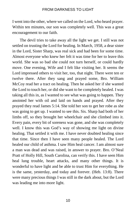I went into the other, where we called on the Lord, who heard prayer. Within ten minutes, our son was completely well. This was a great encouragement to our faith.

The devil tries to take away all the light we get. I still was not settled on trusting the Lord for healing. In March, 1958, a dear sister in the Lord, Sister Sharp, was real sick and had been for some time. Almost everyone who knew her felt it was time for her to leave this world. She was so bad she could not turn herself, or could hardly move. One evening, Wife and I felt like visiting her. It seems the Lord impressed others to visit her, too, that night. There were ten or twelve there. After they sang and prayed some, Bro. William McCoy read her a tract on healing. Then he asked her if she wanted the Lord to touch her, or did she want to be completely healed. I was taking all this in, as I wanted to see what was going to happen. They anointed her with oil and laid on hands and prayed. After they prayed they read James 5:14. She told her son to get her robe as she was going to get up. I wanted to see this. Sis. Sharp had both of her limbs off, so they brought her wheelchair and she climbed into it. Every pain, every bit of soreness was gone, and she was completely well. I know this was God's way of showing me light on divine healing. That settled it with me. I have never doubted healing since that time. Since then I have seen many people healed. The Lord healed our child of asthma. I saw Him heal cancer. I am almost sure a man was dead and was raised, in answer to prayer. Bro. O'Neal Pratt of Holly Hill, South Carolina, can verify this. I have seen Him heal lung trouble, heart attacks, and many other things. It is wonderful to have light and be able to trust Him for everything. He is the same, yesterday, and today and forever. (Heb. 13:8). There were many precious things I was still in the dark about, but the Lord was leading me into more light.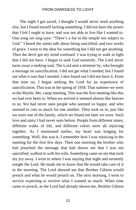The night I got saved, I thought I would never need anything else, but I found myself lacking something. I did not have the power that I felt I ought to have, and was not able to live like I wanted to. One song we sing says: "There's a foe in the temple not subject to God." I heard the saints talk about being sanctified, and two works of grace. I went to the altar for something but I did not get anything. Then the devil got my mind confused. I was trying to walk in light that I did not have. I began to seek God earnestly. The Lord never turns away a seeking soul. The Lord sent a minister by, who brought a message on sanctification. I did not get what I needed, but I found out what it was that I needed. I also found out I did not have it. From that time on, I began seeking the Lord for an experience of sanctification. That was in the spring of 1958. That summer we went to the Myrtle, Mo. camp meeting. This was the first meeting like this we had ever been to. When we arrived it seemed almost like heaven to us. We had never seen people who seemed so happy, and who seemed to care so much for one another. They took us in, just like we were one of the family, which we found out later we were. Such love and unity I had never seen before. People from different states, different walks of life, and different colors were all rejoicing together. As I mentioned earlier, my heart was longing for something. Well, this was it. I remember how I was rejoicing in the meeting for the first few days. Then one morning the brother who had preached the message that had shown me that I was not sanctified, walked in with his wife. Something came on me that took my joy away. I went to where I was staying that night and earnestly sought the Lord. He made me to know that He would take care of it in the morning. The Lord showed me that Brother Gibson would preach and what he would preach on. The next morning, I went to service expecting to receive what I wanted so much. When time came to preach, as the Lord had already shown me, Brother Gibson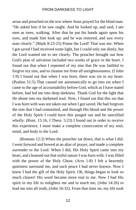arose and preached on the text where Jesus prayed for the blind man. "He asked him if he saw ought. And he looked up, and said, I see men as trees, walking. After that he put his hands again upon his eyes, and made him look up: and he was restored, and saw every man clearly." (Mark 8:23-25) Praise the Lord! That was me. When I got saved I had received some light, but I could only see dimly, but the Lord wanted me to see clearly. The preacher brought out how God's plan of salvation included two works of grace in the heart. I found out that when I repented of my sins that He was faithful to forgive my sins, and to cleanse me from all unrighteousness. (I John 1:9) I found out that when I was born, there was sin in my heart. (Psalms 51:5) That caused me automatically to go into sin when I came to the age of accountability before God, which as I have stated before, had led me into deep darkness. Thank God for the light that He shone into my darkened soul. Now, I found out that this sin that I was born with was not taken out when I got saved. He had forgiven the sins that I had committed, and through His blood and the power of the Holy Spirit I could have this purged out and be sanctified wholly. (Rom. 15:16, I Thess. 5:23) I found out in order to receive this experience, I must make a complete consecration of my soul, mind, and body to the Lord.

(Romans 12:2) When the preacher sat down, that is what I did. I went forward and bowed at an altar of prayer, and made a complete surrender to the Lord. When I did, His Holy Spirit came into my heart, and cleansed out that sinful nature I was born with. I was filled with the power of the Holy Ghost. (Acts 1:8) I felt a heavenly quietness surround me, and such peace I had never known. Now I knew I had the gift of the Holy Spirit. Oh, things began to look so much clearer! His word became more real to me. Now I had His spirit in my life to enlighten me and to teach me, (John 14:26) to lead me into all truth, (John 16:32). From that time on, my life took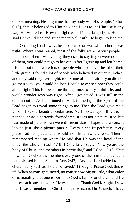on new meaning. He taught me that my body was His temple, (I Cor. 6:19), that it belonged to Him now and I was to let Him use it any way He wanted to. Now the light was shining brightly as He had said He would lead and guide me into all truth. He began to lead me.

One thing I had always been confused on was which church was right. Where I was reared, most of the folks were Baptist people. I remember when I was young, they used to say if you were not one of them, you could not go to heaven. After I grew up and left home, I found out there were lots of people who had never heard of their little group. I found a lot of people who believed in other churches, and they said they were right, too. Some of them said if you did not go their way, you would be lost. I could never see how they could all be right. This followed me through most of my sinful life, and I would wonder who was right. After I got saved, I was still in the dark about it. As I continued to walk in the light, the Spirit of the Lord began to reveal some things to me. Then the Lord gave me a vision. I saw a beautiful cedar tree. As I looked upon this tree, I noticed it was a perfectly formed tree. It was not a natural tree, but was made of parts which were different sizes, shapes and colors. It looked just like a picture puzzle. Every piece fit perfectly, every piece had its place, and would not fit anywhere else. Then I remembered reading where He said that He was the head of the body, the Church. (Col. 1:18) I Cor. 12:27 says, "Now ye are the body of Christ, and members in particular," and I Cor. 12:18, "But now hath God set the members every one of them in the body, as it hath pleased him." Also, in Acts 2:47, "And the Lord added to the church daily such as should be saved." I thought. Praise God, this is it! When anyone gets saved, no matter how big or little, what color or nationality, that one is born into God's family or church, and He places each one just where He wants him. Thank God for light. I saw that I was a member of Christ's body, which is His Church. I have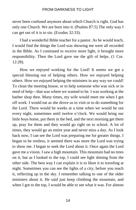never been confused anymore about which Church is right. God has only one Church. We are born into it. (Psalms 87:5) The only way I can get out of it is to sin. (Exodus 32:33).

I had a wonderful Bible teacher for a pastor. As he would teach, I would find the things the Lord was showing me were all recorded in the Bible. As I continued to receive more light, it brought more responsibility. Then the Lord gave me the gift of helps. (1 Cor. 12:28).

How we enjoyed working for the Lord! It seems we got a special blessing out of helping others. How we enjoyed helping others. How we enjoyed helping the ministers in any way we could! To clean the meeting house, or to help someone who was sick or in need of help—that was where we wanted to be. I was working at the barber shop then. Many times, my wife would meet me when I got off work. I would eat as she drove us to visit or to do something for the Lord. There would be weeks at a time when we would be out every night, sometimes until twelve o'clock. We would bring our little boys home, put them in the bed, and the next morning get them up, pray for them and they would go right on to school. A lot of times, they would go an entire year and never miss a day. As I look back now, I can see the Lord was preparing me for greater things. I began to be restless, it seemed there was more the Lord was trying to show me. I began to seek the Lord about it. Once again the Lord gave me a vision. I saw a high mountain. This mountain had no trees on it, but as I looked to the top, I could see light shining from the other side. The best way I can explain it is to liken it to traveling at night. Sometimes you can see the lights of a city, before you reach it, reflecting up in the sky. I remember talking to one of the older ministers about it. He said just keep climbing the mountain, and when I got to the top, I would be able to see what it was. For almost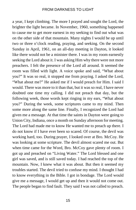a year, I kept climbing. The more I prayed and sought the Lord, the brighter the light became. In November, 1960, something happened to cause me to get more earnest in my seeking to find out what was on the other side of that mountain. Many nights I would be up until two or three o'clock reading, praying, and seeking. On the second Sunday in April, 1961, on an all-day meeting in Dayton, it looked like there would not be a minister there. I was in my room earnestly seeking the Lord about it. I was asking Him why there were not more preachers. I felt the presence of the Lord all around. It seemed the room was filled with light. A voice spoke and said, "What about you?" It was so real, it stopped me from praying. I asked the Lord, "What about me?" He asked me if I would preach for Him. I said I would. There was more to it than that, but it was so real, I have never doubted one time my calling. I did not preach that day, but the following week, those words kept ringing in my ears, "What about you?" During the week, some scriptures came to my mind. Then some more along the same line. Finally, I recognized the Lord had given me a message. At that time the saints in Dayton were going to Union City, Indiana, once a month on Sunday afternoon for meeting. The Lord had made me to know He wanted me to preach up there. I do not know if I have ever been so scared. Of course, the devil was working hard, too. During prayer, I looked over at Bro. McCoy. He was looking at some scripture. The devil almost scared me out. But when time came for the Word, Bro. McCoy gave plenty of room. I got up and preached on "Living Water." The Lord blessed and one girl was saved, and is still saved today. I had reached the top of the mountain. Now, I knew what it was about. But then it seemed my troubles started. The devil tried to confuse my mind. I thought I had to know everything in the Bible. I got in bondage. The Lord would give me a message, I would get up and then it would not come out. The people began to find fault. They said I was not called to preach.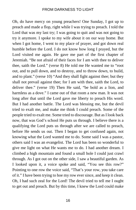Oh, do have mercy on young preachers! One Sunday, I got up to preach and made a flop, right while I was trying to preach. I told the Lord that was my last try; I was going to quit and was not going to try it anymore. I spoke to my wife about it on our way home. But when I got home, I went to my place of prayer, and got down real humble before the Lord. I do not know how long I prayed, but the Lord visited me again. He gave me part of the first chapter of Jeremiah. "Be not afraid of their faces for I am with thee to deliver thee, saith the Lord." (verse 8) He told me He wanted me to "root out, and to pull down, and to destroy, and to throw down, to build, and to plant." (verse 10) "And they shall fight against thee; but they shall not prevail against thee; for I am with thee, saith the Lord, to deliver thee." (verse 19) Then He said, "be bold as a lion, and harmless as a dove." I came out of that room a new man. It was not long after that until the Lord gave me liberty to preach His word. But I had another battle. The Lord was blessing me, but the devil tried to exalt me, and make me think I could preach. Some of the people tried to exalt me. Some tried to discourage. But as I look back now, that was God's school He puts us through. I believe there is a qualifying the Lord puts us through after we are called to preach, before He sends us out. Then I began to get confused again, not knowing what the Lord wanted me to do. Some said I was a pastor, others said I was an evangelist. The Lord has been so wonderful to give me light on what He wants me to do. I had another dream. I climbed a high mountain and found a small hole I could just crawl through. As I got out on the other side, I saw a beautiful garden. As I looked upon it, a voice spoke and said, "You see this row?" Pointing to one row the voice said, "That's your row, you take care of it." I have been trying to hoe my row ever since, and keep it clean. Oh, I had such zeal for the Lord! The devil tried to tell me I ought to get out and preach. But by this time, I knew the Lord could make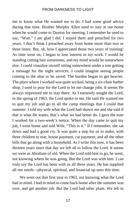me to know what He wanted me to do. I had some good advice during that time. Brother Murphy Allen used to stay at our home when he would come to Dayton for meeting. I remember he used to say, "Wait." I am glad I did. I stayed there and preached for two years. I don't think I preached away from home more than two or three times. But, oh, how I appreciated those two years of training! As time went on, I began to lose interest in my work. I would be standing cutting hair sometimes, and my mind would be somewhere else. I could visualize myself sitting somewhere under a tree getting a message for the night services. I could imagine seeing people coming to the altar to be saved. The burden began to get heavier. The place where I worked was quite wicked, being a six-chair barber shop. I used to pray for the Lord to let me change jobs. It seems He always impressed me to stay there. As I earnestly sought the Lord, in the spring of 1963, the Lord spoke to me. He said He wanted me to quit my job and go to all the camp meetings that I could that summer. I told my wife what the Lord had shown me and she said if that is what He wants, that's what we had better do. I gave the man I worked for a two-week's notice. When the day came to quit my job, I went home and told Wife, "This is it." If I remember, she sat down and had a good cry. It was quite a step for us to make, with three children to rear, house payment, car payment, and all the other bills that go along with a household. As I write this now, it has been thirteen years since that day we left all to follow the Lord. It seems we were as Abraham of old. When the Lord told him to go, he went, not knowing where he was going. But the Lord was with him. I can truly say the Lord has been with us all these years. He has supplied all our needs—physical, spiritual, and financial up unto this time.

We went out that first year in 1963, not knowing what the Lord had in mind. I had in mind to come back home after the summer was over, and get another job. But the Lord had other plans. We left in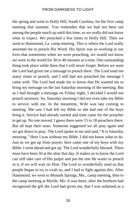the spring and went to Holly Hill, South Carolina, for the first camp meeting that summer. You remember that we had not been out among the people much up until this time, so we really did not know what to expect. We preached a few times in Holly Hill. Then we went to Hammond, La. camp meeting. This is where the Lord really anointed me to preach His Word. His Spirit was so working in our lives that sometimes when we were preaching, we would not know we were in the world for 30 to 40 minutes at a time. One outstanding thing took place while there that I will never forget. Before we went the Lord had given me a message to preach there. The Lord used me many times to preach, and I still had not preached the message I came with. The Lord had made me to know that He wanted me to bring my message on the last Saturday morning of the meeting. But as I had brought a message on Friday night, I decided I would not preach anymore. So, Saturday morning I did not even take my Bible to service with me. In the meantime, Wife was late coming to meeting. She saw I had left my Bible so she had one of the boys bring it. Service had already started and time came for the preacher to get up. No one moved. I guess there were 15 to 18 preachers there. But all kept their seats. Someone suggested we all pray again and we got down to pray. The Lord spoke to me and said, "It is Saturday morning." Here I was without my Bible. I did not know what to do. Just as we got up from prayer, here came one of my boys with my Bible. I went ahead and got up. The Lord wonderfully blessed. There must have been 50 at the altar that day. It makes us to know the Lord can still take care of His pulpit and put the one He wants to preach in it, if we will wait on Him. The Lord so wonderfully used us that people began to try to exalt us, and I had to fight against this. After Hammond, we went to Monark Springs, Mo., camp meeting, then to the camp meeting at Myrtle, Mo. It was there, after the brethren had recognized the gift the Lord had given me, that I was ordained as a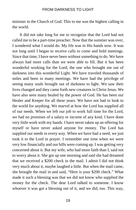minister in the Church of God. This to me was the highest calling in the world.

It did not take long for me to recognize that the Lord had not called me to be a part-time preacher. Now that the summer was over, I wondered what I would do. My life was in His hands now. It was not long until I began to receive calls to come and hold meetings. Since that time, I have never been without something to do. We have always had more calls than we were able to fill. But it has been wonderful working for the Lord, the one who brought me out of darkness into this wonderful Light. We have traveled thousands of miles and been in many meetings. We have had the privilege of seeing many souls brought out of darkness to light. We saw their lives changed and they came forth new creatures in Christ Jesus. We have also seen many healed by the power of God. He has been our Healer and Keeper for all these years. We have not had to look to the world for anything. We marvel at how the Lord has supplied all of our needs. When we left our job to work full time for the Lord, we had no promises of a salary or income of any kind. I have done very little work with my hands. I have never taken up an offering for myself or have never asked anyone for money. The Lord has supplied our needs in every way. When we have had a need, we just took it to the Lord in prayer. I remember one time when we were very low financially and our bills were coming up. I was getting very concerned about it. But my wife, who had more faith than I, said not to worry about it. She got up one morning and said she had dreamed that we received a \$200 check in the mail. I admit I did not think very much about it, maybe laughed a little. But when the mail came, she brought the mail in and said, "Here is your \$200 check." What made it such a blessing was that we did not know who supplied the money for the check. The dear Lord talked to someone. I know whoever it was got a blessing out of it, and we did, too. This way,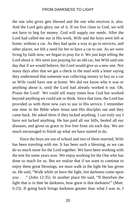the one who gives gets blessed and the one who receives it, also. And the Lord gets glory out of it. If we live close to God, we will not have to beg for money. God will supply our needs. After the Lord had called me out in His work, Wife and the boys were left at home, without a car. As they had quite a way to go to services, and other places, we felt a need for her to have a car to use. As we were living by faith now, we began to pray for it. We just kept telling the Lord about it. We were just praying for an old car, but Wife said one day that if we would believe, the Lord would give us a new one. Not many days after that we got a check in the mail with a letter saying they understood that someone was collecting money to buy us a car so Wife could have one at home. We did not know who it was or anything about it, until the Lord had already worked it out. Oh, Praise the Lord! We could tell many times how God has worked beyond anything we could ask or think. Since that time, the Lord has provided us with three new cars to use in His service. I remember one time in the Bible when Jesus sent His disciples out and they came back. He asked them if they lacked anything. I can truly say I have not lacked anything. He has paid all our bills, healed all our diseases, and given us grace to live free from sin each day. We are much encouraged to finish up what we have started to do.

Since the boys are out of school and two of them married, Wife has been traveling with me. It has been such a blessing, as we can do so much more for the Lord together. We have been working with the tent for some years now. We enjoy working for the One who has done so much for us. But we realize that if we want to continue to enjoy these great blessings, we must walk in the light He has given us. He said, "Walk while ye have the light, lest darkness come upon you . . ." (John 12:35). In another place He said, "If therefore the light that is in thee be darkness, how great is that darkness!" (Matt. 6:23). If going back brings darkness greater than what I was in, I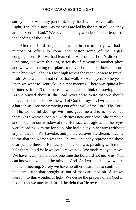surely do not want any part of it. Pray that I will always walk in the Light. The Bible says, "as many as are led by the Spirit of God, they are the Sons of God." We have had many wonderful experiences of the leading of the Lord.

After the Lord began to bless us in our ministry, we had a number of offers to come and pastor some of the largest congregations. But we had learned to wait on the Lord's direction. One time, we were thinking seriously of moving to another place and we were making our plans to move. I remember how the Lord put a brick wall about 40 feet high across the road we were to travel. I told Wife we could not cross that wall. So we stayed. Some years later, we went to Kentucky in a tent meeting. There was quite a bit of interest in the Truth there, so we began to think of moving there. As we prayed about it, the Lord revealed to Wife that we should move. I still had to know the will of God for myself. I write this with a burden, as I see many moving out of the will of the Lord. The Lord, in His wonderful dealings with me, gave me a dream. I dreamed there was a woman lost in a wilderness near our home. She came up and looked in our window at me. Her face was aglow, but her eyes were pleading with me for help. She had a baby in her arms without any clothes on. As I awoke, and pondered over the dream, it came to me that the woman was the Church. The baby represented those dear people there in Kentucky. There she was pleading with me to help them. I told Wife we could move now. We made ready to move. We have never had to doubt one time the Lord did not move us. You can know the will and the mind of God. As I write this now, we are in a tent meeting. Surely we have no other desire but to continue in this same truth that brought us out of that darkened pit of sin we were in, to this wonderful light. We desire the prayers of all God's people that we may walk in all the light that He reveals to our hearts.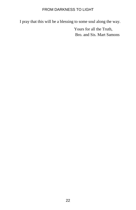I pray that this will be a blessing to some soul along the way.

Yours for all the Truth, Bro. and Sis. Mart Samons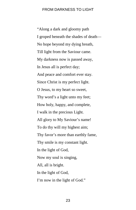"Along a dark and gloomy path I groped beneath the shades of death— No hope beyond my dying breath, Till light from the Saviour came. My darkness now is passed away, In Jesus all is perfect day; And peace and comfort ever stay. Since Christ is my perfect light. O Jesus, to my heart so sweet, Thy word's a light unto my feet; How holy, happy, and complete, I walk in the precious Light. All glory to My Saviour's name! To do thy will my highest aim; Thy favor's more than earthly fame, Thy smile is my constant light. In the light of God, Now my soul is singing, All, all is bright. In the light of God, I'm now in the light of God."